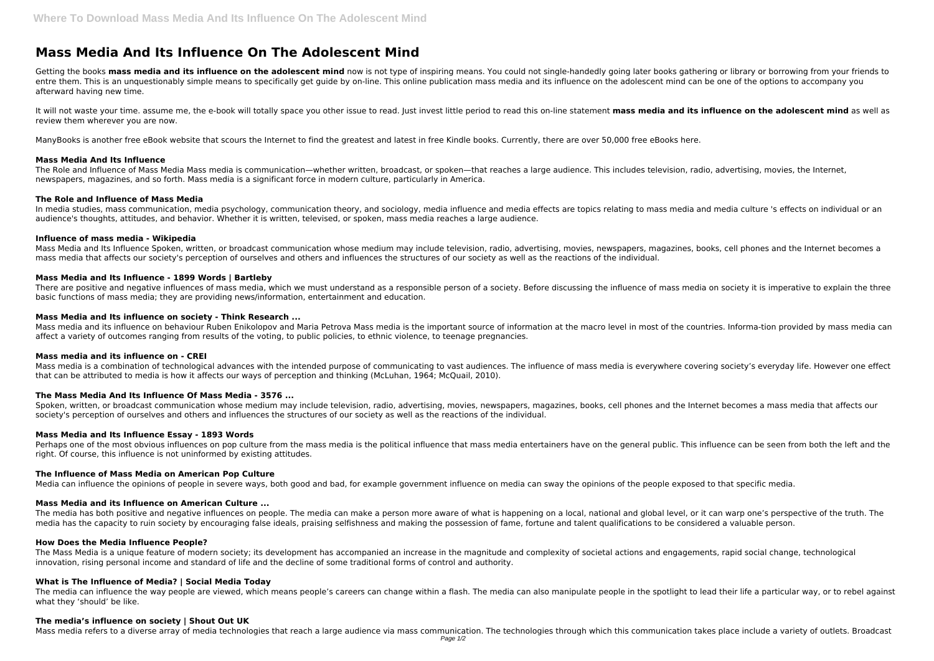# **Mass Media And Its Influence On The Adolescent Mind**

Getting the books mass media and its influence on the adolescent mind now is not type of inspiring means. You could not single-handedly going later books gathering or library or borrowing from your friends to entre them. This is an unquestionably simple means to specifically get quide by on-line. This online publication mass media and its influence on the adolescent mind can be one of the options to accompany you afterward having new time.

It will not waste your time. assume me, the e-book will totally space you other issue to read. Just invest little period to read this on-line statement **mass media and its influence on the adolescent mind** as well as review them wherever you are now.

In media studies, mass communication, media psychology, communication theory, and sociology, media influence and media effects are topics relating to mass media and media culture 's effects on individual or an audience's thoughts, attitudes, and behavior. Whether it is written, televised, or spoken, mass media reaches a large audience.

ManyBooks is another free eBook website that scours the Internet to find the greatest and latest in free Kindle books. Currently, there are over 50,000 free eBooks here.

# **Mass Media And Its Influence**

Mass Media and Its Influence Spoken, written, or broadcast communication whose medium may include television, radio, advertising, movies, newspapers, magazines, books, cell phones and the Internet becomes a mass media that affects our society's perception of ourselves and others and influences the structures of our society as well as the reactions of the individual.

The Role and Influence of Mass Media Mass media is communication—whether written, broadcast, or spoken—that reaches a large audience. This includes television, radio, advertising, movies, the Internet, newspapers, magazines, and so forth. Mass media is a significant force in modern culture, particularly in America.

There are positive and negative influences of mass media, which we must understand as a responsible person of a society. Before discussing the influence of mass media on society it is imperative to explain the three basic functions of mass media; they are providing news/information, entertainment and education.

# **The Role and Influence of Mass Media**

# **Influence of mass media - Wikipedia**

Spoken, written, or broadcast communication whose medium may include television, radio, advertising, movies, newspapers, magazines, books, cell phones and the Internet becomes a mass media that affects our society's perception of ourselves and others and influences the structures of our society as well as the reactions of the individual.

Perhaps one of the most obvious influences on pop culture from the mass media is the political influence that mass media entertainers have on the general public. This influence can be seen from both the left and the right. Of course, this influence is not uninformed by existing attitudes.

# **Mass Media and Its Influence - 1899 Words | Bartleby**

The media has both positive and negative influences on people. The media can make a person more aware of what is happening on a local, national and global level, or it can warp one's perspective of the truth. The media has the capacity to ruin society by encouraging false ideals, praising selfishness and making the possession of fame, fortune and talent qualifications to be considered a valuable person.

# **Mass Media and Its influence on society - Think Research ...**

The media can influence the way people are viewed, which means people's careers can change within a flash. The media can also manipulate people in the spotlight to lead their life a particular way, or to rebel against what they 'should' be like.

Mass media and its influence on behaviour Ruben Enikolopov and Maria Petrova Mass media is the important source of information at the macro level in most of the countries. Informa-tion provided by mass media can affect a variety of outcomes ranging from results of the voting, to public policies, to ethnic violence, to teenage pregnancies.

#### **Mass media and its influence on - CREI**

Mass media is a combination of technological advances with the intended purpose of communicating to vast audiences. The influence of mass media is everywhere covering society's everyday life. However one effect that can be attributed to media is how it affects our ways of perception and thinking (McLuhan, 1964; McQuail, 2010).

# **The Mass Media And Its Influence Of Mass Media - 3576 ...**

# **Mass Media and Its Influence Essay - 1893 Words**

# **The Influence of Mass Media on American Pop Culture**

Media can influence the opinions of people in severe ways, both good and bad, for example government influence on media can sway the opinions of the people exposed to that specific media.

# **Mass Media and its Influence on American Culture ...**

#### **How Does the Media Influence People?**

The Mass Media is a unique feature of modern society; its development has accompanied an increase in the magnitude and complexity of societal actions and engagements, rapid social change, technological innovation, rising personal income and standard of life and the decline of some traditional forms of control and authority.

# **What is The Influence of Media? | Social Media Today**

#### **The media's influence on society | Shout Out UK**

Mass media refers to a diverse array of media technologies that reach a large audience via mass communication. The technologies through which this communication takes place include a variety of outlets. Broadcast